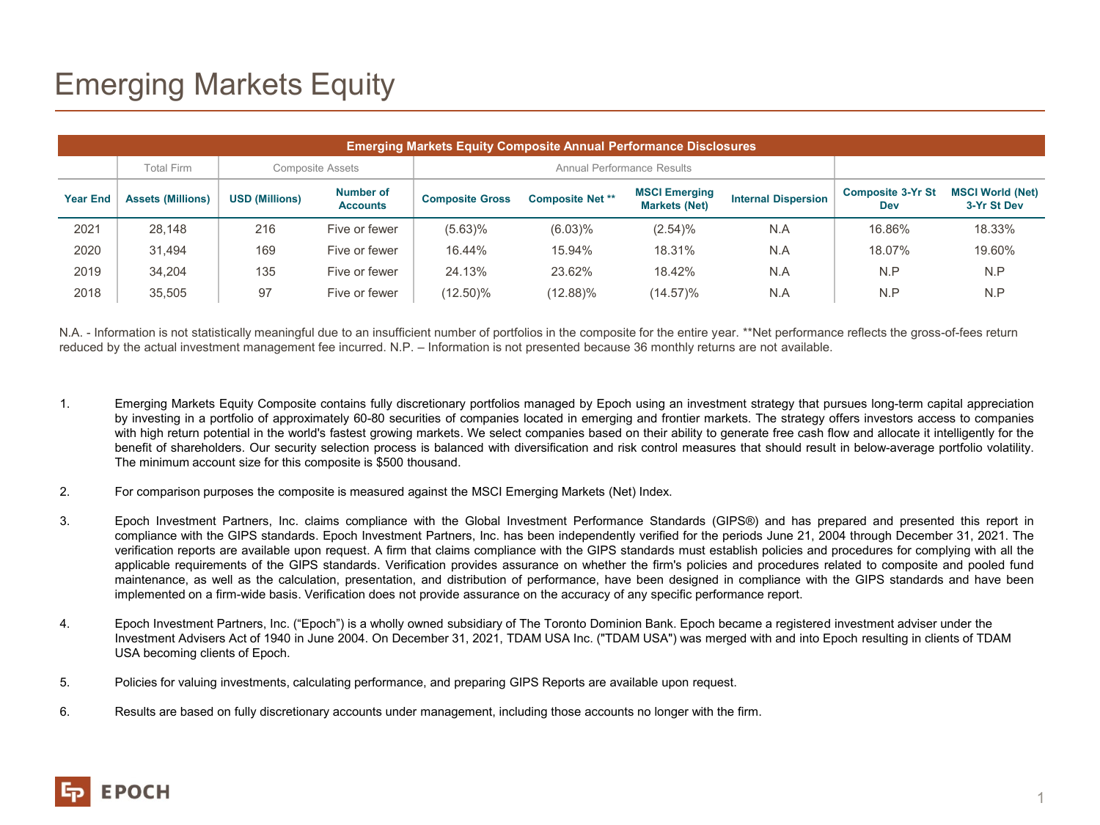## Emerging Markets Equity

| <b>Emerging Markets Equity Composite Annual Performance Disclosures</b> |                          |                         |                              |                            |                         |                                              |                            |                                 |                                        |
|-------------------------------------------------------------------------|--------------------------|-------------------------|------------------------------|----------------------------|-------------------------|----------------------------------------------|----------------------------|---------------------------------|----------------------------------------|
|                                                                         | <b>Total Firm</b>        | <b>Composite Assets</b> |                              | Annual Performance Results |                         |                                              |                            |                                 |                                        |
| <b>Year End</b>                                                         | <b>Assets (Millions)</b> | <b>USD (Millions)</b>   | Number of<br><b>Accounts</b> | <b>Composite Gross</b>     | <b>Composite Net **</b> | <b>MSCI Emerging</b><br><b>Markets (Net)</b> | <b>Internal Dispersion</b> | <b>Composite 3-Yr St</b><br>Dev | <b>MSCI World (Net)</b><br>3-Yr St Dev |
| 2021                                                                    | 28.148                   | 216                     | Five or fewer                | $(5.63)\%$                 | $(6.03)\%$              | (2.54)%                                      | N.A                        | 16.86%                          | 18.33%                                 |
| 2020                                                                    | 31.494                   | 169                     | Five or fewer                | 16.44%                     | 15.94%                  | 18.31%                                       | N.A                        | 18.07%                          | 19.60%                                 |
| 2019                                                                    | 34.204                   | 135                     | Five or fewer                | 24.13%                     | 23.62%                  | 18.42%                                       | N.A                        | N.P                             | N.P                                    |
| 2018                                                                    | 35.505                   | 97                      | Five or fewer                | (12.50)%                   | (12.88)%                | (14.57)%                                     | N.A                        | N.P                             | N.P                                    |

N.A. - Information is not statistically meaningful due to an insufficient number of portfolios in the composite for the entire year. \*\*Net performance reflects the gross-of-fees return reduced by the actual investment management fee incurred. N.P. – Information is not presented because 36 monthly returns are not available.

- 1. Emerging Markets Equity Composite contains fully discretionary portfolios managed by Epoch using an investment strategy that pursues long-term capital appreciation by investing in a portfolio of approximately 60-80 securities of companies located in emerging and frontier markets. The strategy offers investors access to companies with high return potential in the world's fastest growing markets. We select companies based on their ability to generate free cash flow and allocate it intelligently for the benefit of shareholders. Our security selection process is balanced with diversification and risk control measures that should result in below-average portfolio volatility. The minimum account size for this composite is \$500 thousand.
- 2. For comparison purposes the composite is measured against the MSCI Emerging Markets (Net) Index.
- 3. Epoch Investment Partners, Inc. claims compliance with the Global Investment Performance Standards (GIPS®) and has prepared and presented this report in compliance with the GIPS standards. Epoch Investment Partners, Inc. has been independently verified for the periods June 21, 2004 through December 31, 2021. The verification reports are available upon request. A firm that claims compliance with the GIPS standards must establish policies and procedures for complying with all the applicable requirements of the GIPS standards. Verification provides assurance on whether the firm's policies and procedures related to composite and pooled fund maintenance, as well as the calculation, presentation, and distribution of performance, have been designed in compliance with the GIPS standards and have been implemented on a firm-wide basis. Verification does not provide assurance on the accuracy of any specific performance report.
- 4. Epoch Investment Partners, Inc. ("Epoch") is a wholly owned subsidiary of The Toronto Dominion Bank. Epoch became a registered investment adviser under the Investment Advisers Act of 1940 in June 2004. On December 31, 2021, TDAM USA Inc. ("TDAM USA") was merged with and into Epoch resulting in clients of TDAM USA becoming clients of Epoch.
- 5. Policies for valuing investments, calculating performance, and preparing GIPS Reports are available upon request.
- 6. Results are based on fully discretionary accounts under management, including those accounts no longer with the firm.